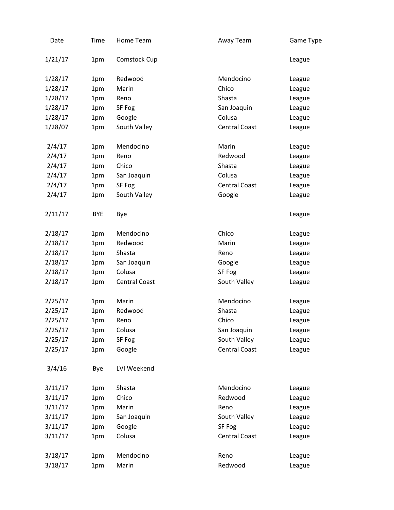| Date    | Time       | Home Team     | Away Team            | Game Type |
|---------|------------|---------------|----------------------|-----------|
| 1/21/17 | 1pm        | Comstock Cup  |                      | League    |
| 1/28/17 | 1pm        | Redwood       | Mendocino            | League    |
| 1/28/17 | 1pm        | Marin         | Chico                | League    |
| 1/28/17 | 1pm        | Reno          | Shasta               | League    |
| 1/28/17 | 1pm        | SF Fog        | San Joaquin          | League    |
| 1/28/17 | 1pm        | Google        | Colusa               | League    |
| 1/28/07 | 1pm        | South Valley  | <b>Central Coast</b> | League    |
| 2/4/17  | 1pm        | Mendocino     | Marin                | League    |
| 2/4/17  | 1pm        | Reno          | Redwood              | League    |
| 2/4/17  | 1pm        | Chico         | Shasta               | League    |
| 2/4/17  | 1pm        | San Joaquin   | Colusa               | League    |
| 2/4/17  | 1pm        | SF Fog        | <b>Central Coast</b> | League    |
| 2/4/17  | 1pm        | South Valley  | Google               | League    |
| 2/11/17 | <b>BYE</b> | Bye           |                      | League    |
| 2/18/17 | 1pm        | Mendocino     | Chico                | League    |
| 2/18/17 | 1pm        | Redwood       | Marin                | League    |
| 2/18/17 | 1pm        | Shasta        | Reno                 | League    |
| 2/18/17 | 1pm        | San Joaquin   | Google               | League    |
| 2/18/17 | 1pm        | Colusa        | SF Fog               | League    |
| 2/18/17 | 1pm        | Central Coast | South Valley         | League    |
| 2/25/17 | 1pm        | Marin         | Mendocino            | League    |
| 2/25/17 | 1pm        | Redwood       | Shasta               | League    |
| 2/25/17 | 1pm        | Reno          | Chico                | League    |
| 2/25/17 | 1pm        | Colusa        | San Joaquin          | League    |
| 2/25/17 | 1pm        | SF Fog        | South Valley         | League    |
| 2/25/17 | 1pm        | Google        | <b>Central Coast</b> | League    |
| 3/4/16  | Bye        | LVI Weekend   |                      |           |
| 3/11/17 | 1pm        | Shasta        | Mendocino            | League    |
| 3/11/17 | 1pm        | Chico         | Redwood              | League    |
| 3/11/17 | 1pm        | Marin         | Reno                 | League    |
| 3/11/17 | 1pm        | San Joaquin   | South Valley         | League    |
| 3/11/17 | 1pm        | Google        | SF Fog               | League    |
| 3/11/17 | 1pm        | Colusa        | <b>Central Coast</b> | League    |
| 3/18/17 | 1pm        | Mendocino     | Reno                 | League    |
| 3/18/17 | 1pm        | Marin         | Redwood              | League    |